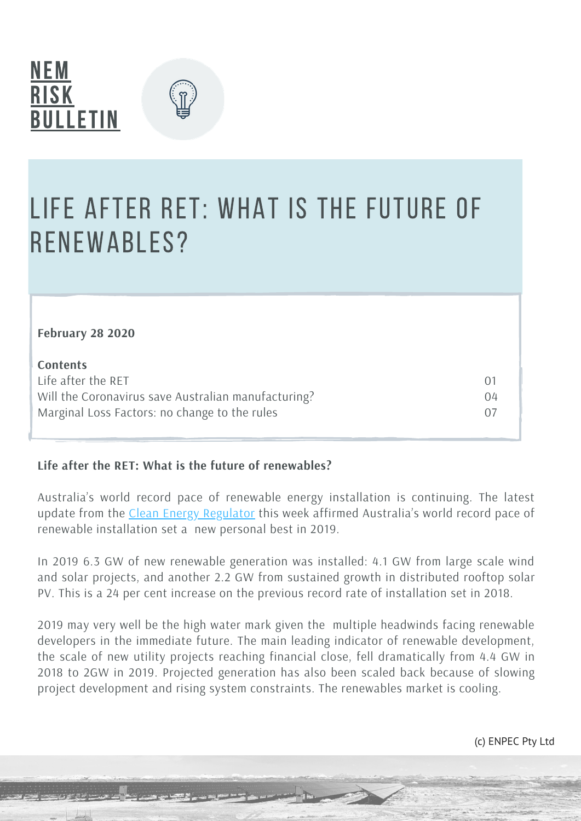

**February 28 2020**



### Life after RET: what is the future of renewables?

| February 28 2020                                    |     |
|-----------------------------------------------------|-----|
| <b>Contents</b>                                     |     |
| Life after the RET                                  | (1) |
| Will the Coronavirus save Australian manufacturing? | 04  |
| Marginal Loss Factors: no change to the rules       |     |

#### **Life after the RET: What is the future of renewables?**

Australia's world record pace of renewable energy installation is continuing. The latest update from the Clean Energy [Regulator](http://www.cleanenergyregulator.gov.au/DocumentAssets/Documents/Quarterly%20Carbon%20Market%20Report%20-%20December%20Quarter%202019.pdf) this week affirmed Australia's world record pace of renewable installation set a new personal best in 2019.

In 2019 6.3 GW of new renewable generation was installed: 4.1 GW from large scale wind and solar projects, and another 2.2 GW from sustained growth in distributed rooftop solar PV. This is a 24 per cent increase on the previous record rate of installation set in 2018.

2019 may very well be the high water mark given the multiple headwinds facing renewable developers in the immediate future. The main leading indicator of renewable development, the scale of new utility projects reaching financial close, fell dramatically from 4.4 GW in 2018 to 2GW in 2019. Projected generation has also been scaled back because of slowing project development and rising system constraints. The renewables market is cooling.

(c) ENPEC Pty Ltd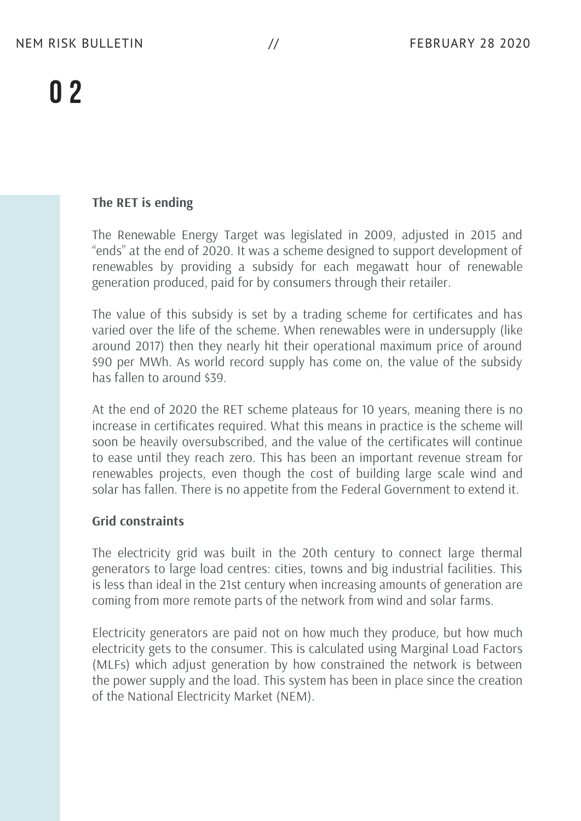#### **The RET is ending**

The Renewable Energy Target was legislated in 2009, adjusted in 2015 and "ends" at the end of 2020. It was a scheme designed to support development of renewables by providing a subsidy for each megawatt hour of renewable generation produced, paid for by consumers through their retailer.

The value of this subsidy is set by a trading scheme for certificates and has varied over the life of the scheme. When renewables were in undersupply (like around 2017) then they nearly hit their operational maximum price of around \$90 per MWh. As world record supply has come on, the value of the subsidy has fallen to around \$39.

At the end of 2020 the RET scheme plateaus for 10 years, meaning there is no increase in certificates required. What this means in practice is the scheme will soon be heavily oversubscribed, and the value of the certificates will continue to ease until they reach zero. This has been an important revenue stream for renewables projects, even though the cost of building large scale wind and solar has fallen. There is no appetite from the Federal Government to extend it.

#### **Grid constraints**

The electricity grid was built in the 20th century to connect large thermal generators to large load centres: cities, towns and big industrial facilities. This is less than ideal in the 21st century when increasing amounts of generation are coming from more remote parts of the network from wind and solar farms.

Electricity generators are paid not on how much they produce, but how much electricity gets to the consumer. This is calculated using Marginal Load Factors (MLFs) which adjust generation by how constrained the network is between the power supply and the load. This system has been in place since the creation of the National Electricity Market (NEM).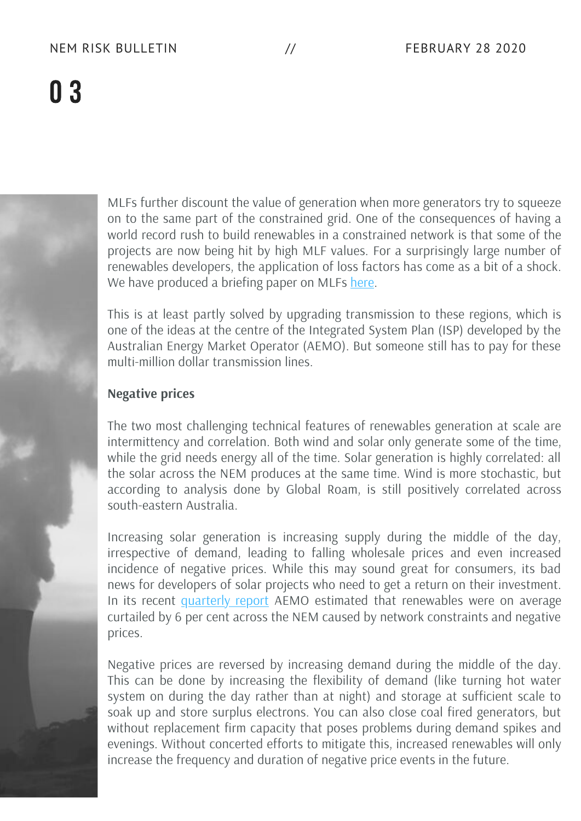

MLFs further discount the value of generation when more generators try to squeeze on to the same part of the constrained grid. One of the consequences of having a world record rush to build renewables in a constrained network is that some of the projects are now being hit by high MLF values. For a surprisingly large number of renewables developers, the application of loss factors has come as a bit of a shock. We have produced a briefing paper on MLFs [here.](https://nemriskbulletin.com.au/nemr_resources/mlfs/)

This is at least partly solved by upgrading transmission to these regions, which is one of the ideas at the centre of the Integrated System Plan (ISP) developed by the Australian Energy Market Operator (AEMO). But someone still has to pay for these multi-million dollar transmission lines.

#### **Negative prices**

The two most challenging technical features of renewables generation at scale are intermittency and correlation. Both wind and solar only generate some of the time, while the grid needs energy all of the time. Solar generation is highly correlated: all the solar across the NEM produces at the same time. Wind is more stochastic, but according to analysis done by Global Roam, is still positively correlated across south-eastern Australia.

Increasing solar generation is increasing supply during the middle of the day, irrespective of demand, leading to falling wholesale prices and even increased incidence of negative prices. While this may sound great for consumers, its bad news for developers of solar projects who need to get a return on their investment. In its recent [quarterly](https://www.aemo.com.au/-/media/files/major-publications/qed/2019/qed-q4-2019.pdf) report AEMO estimated that renewables were on average curtailed by 6 per cent across the NEM caused by network constraints and negative prices.

Negative prices are reversed by increasing demand during the middle of the day. This can be done by increasing the flexibility of demand (like turning hot water system on during the day rather than at night) and storage at sufficient scale to soak up and store surplus electrons. You can also close coal fired generators, but without replacement firm capacity that poses problems during demand spikes and evenings. Without concerted efforts to mitigate this, increased renewables will only increase the frequency and duration of negative price events in the future.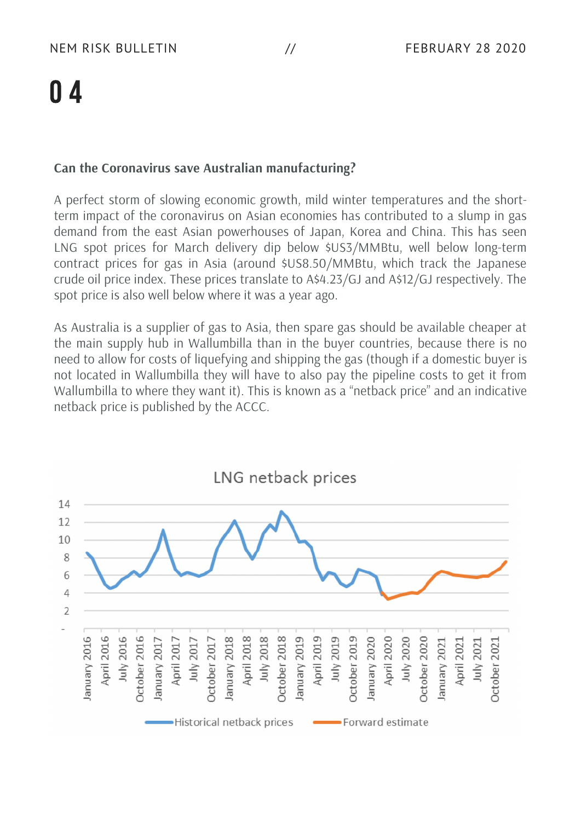#### **Can the Coronavirus save Australian manufacturing?**

A perfect storm of slowing economic growth, mild winter temperatures and the shortterm impact of the coronavirus on Asian economies has contributed to a slump in gas demand from the east Asian powerhouses of Japan, Korea and China. This has seen LNG spot prices for March delivery dip below \$US3/MMBtu, well below long-term contract prices for gas in Asia (around \$US8.50/MMBtu, which track the Japanese crude oil price index. These prices translate to A\$4.23/GJ and A\$12/GJ respectively. The spot price is also well below where it was a year ago.

As Australia is a supplier of gas to Asia, then spare gas should be available cheaper at the main supply hub in Wallumbilla than in the buyer countries, because there is no need to allow for costs of liquefying and shipping the gas (though if a domestic buyer is not located in Wallumbilla they will have to also pay the pipeline costs to get it from Wallumbilla to where they want it). This is known as a "netback price" and an indicative netback price is published by the ACCC.

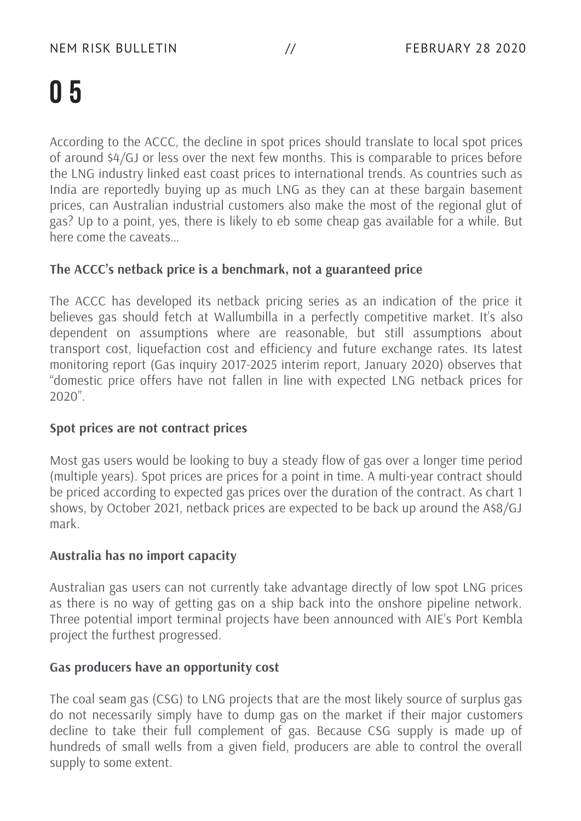According to the ACCC, the decline in spot prices should translate to local spot prices of around \$4/GJ or less over the next few months. This is comparable to prices before the LNG industry linked east coast prices to international trends. As countries such as India are reportedly buying up as much LNG as they can at these bargain basement prices, can Australian industrial customers also make the most of the regional glut of gas? Up to a point, yes, there is likely to eb some cheap gas available for a while. But here come the caveats…

#### **The ACCC's netback price is a benchmark, not a guaranteed price**

The ACCC has developed its netback pricing series as an indication of the price it believes gas should fetch at Wallumbilla in a perfectly competitive market. It's also dependent on assumptions where are reasonable, but still assumptions about transport cost, liquefaction cost and efficiency and future exchange rates. Its latest monitoring report (Gas inquiry 2017-2025 interim report, January 2020) observes that "domestic price offers have not fallen in line with expected LNG netback prices for 2020".

#### **Spot prices are not contract prices**

Most gas users would be looking to buy a steady flow of gas over a longer time period (multiple years). Spot prices are prices for a point in time. A multi-year contract should be priced according to expected gas prices over the duration of the contract. As chart 1 shows, by October 2021, netback prices are expected to be back up around the A\$8/GJ mark.

#### **Australia has no import capacity**

Australian gas users can not currently take advantage directly of low spot LNG prices as there is no way of getting gas on a ship back into the onshore pipeline network. Three potential import terminal projects have been announced with AIE's Port Kembla project the furthest progressed.

#### **Gas producers have an opportunity cost**

The coal seam gas (CSG) to LNG projects that are the most likely source of surplus gas do not necessarily simply have to dump gas on the market if their major customers decline to take their full complement of gas. Because CSG supply is made up of hundreds of small wells from a given field, producers are able to control the overall supply to some extent.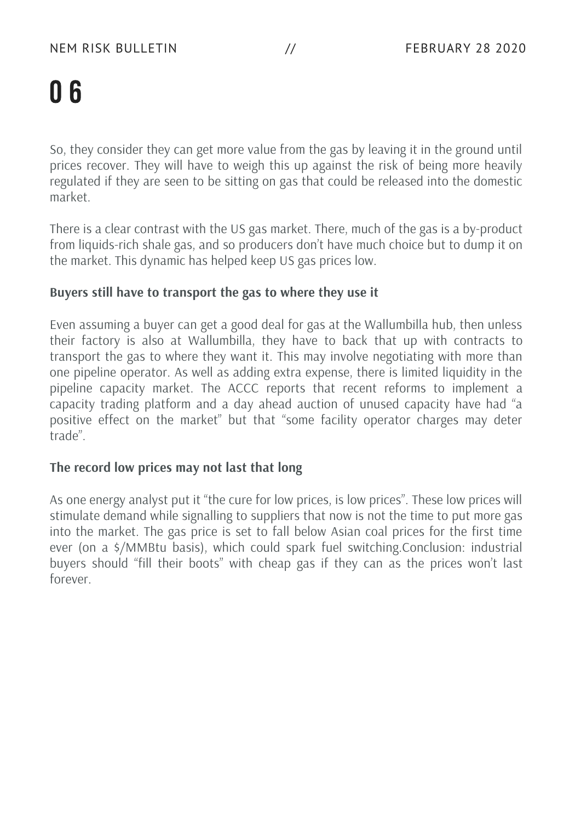So, they consider they can get more value from the gas by leaving it in the ground until prices recover. They will have to weigh this up against the risk of being more heavily regulated if they are seen to be sitting on gas that could be released into the domestic market.

There is a clear contrast with the US gas market. There, much of the gas is a by-product from liquids-rich shale gas, and so producers don't have much choice but to dump it on the market. This dynamic has helped keep US gas prices low.

#### **Buyers still have to transport the gas to where they use it**

Even assuming a buyer can get a good deal for gas at the Wallumbilla hub, then unless their factory is also at Wallumbilla, they have to back that up with contracts to transport the gas to where they want it. This may involve negotiating with more than one pipeline operator. As well as adding extra expense, there is limited liquidity in the pipeline capacity market. The ACCC reports that recent reforms to implement a capacity trading platform and a day ahead auction of unused capacity have had "a positive effect on the market" but that "some facility operator charges may deter trade".

#### **The record low prices may not last that long**

As one energy analyst put it "the cure for low prices, is low prices". These low prices will stimulate demand while signalling to suppliers that now is not the time to put more gas into the market. The gas price is set to fall below Asian coal prices for the first time ever (on a \$/MMBtu basis), which could spark fuel switching.Conclusion: industrial buyers should "fill their boots" with cheap gas if they can as the prices won't last forever.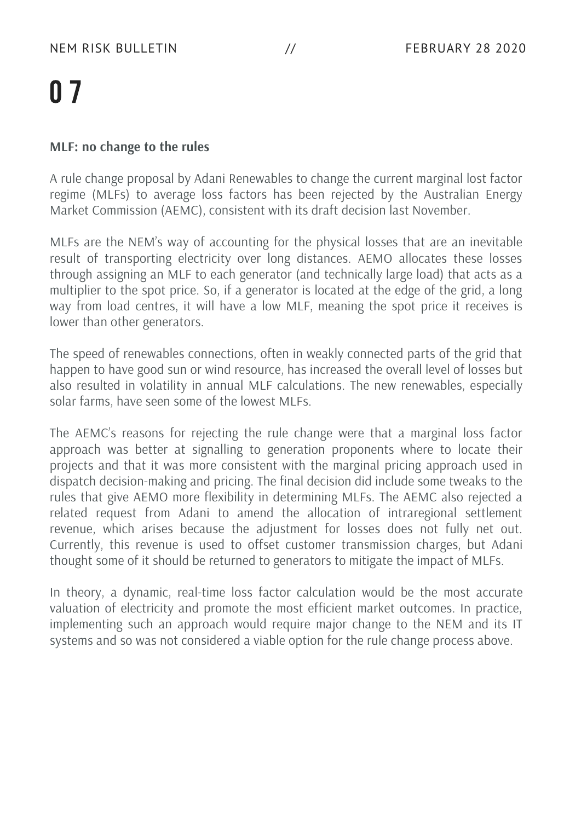#### **MLF: no change to the rules**

A rule change proposal by Adani Renewables to change the current marginal lost factor regime (MLFs) to average loss factors has been rejected by the Australian Energy Market Commission (AEMC), consistent with its draft decision last November.

MLFs are the NEM's way of accounting for the physical losses that are an inevitable result of transporting electricity over long distances. AEMO allocates these losses through assigning an MLF to each generator (and technically large load) that acts as a multiplier to the spot price. So, if a generator is located at the edge of the grid, a long way from load centres, it will have a low MLF, meaning the spot price it receives is lower than other generators.

The speed of renewables connections, often in weakly connected parts of the grid that happen to have good sun or wind resource, has increased the overall level of losses but also resulted in volatility in annual MLF calculations. The new renewables, especially solar farms, have seen some of the lowest MLFs.

The AEMC's reasons for rejecting the rule change were that a marginal loss factor approach was better at signalling to generation proponents where to locate their projects and that it was more consistent with the marginal pricing approach used in dispatch decision-making and pricing. The final decision did include some tweaks to the rules that give AEMO more flexibility in determining MLFs. The AEMC also rejected a related request from Adani to amend the allocation of intraregional settlement revenue, which arises because the adjustment for losses does not fully net out. Currently, this revenue is used to offset customer transmission charges, but Adani thought some of it should be returned to generators to mitigate the impact of MLFs.

In theory, a dynamic, real-time loss factor calculation would be the most accurate valuation of electricity and promote the most efficient market outcomes. In practice, implementing such an approach would require major change to the NEM and its IT systems and so was not considered a viable option for the rule change process above.